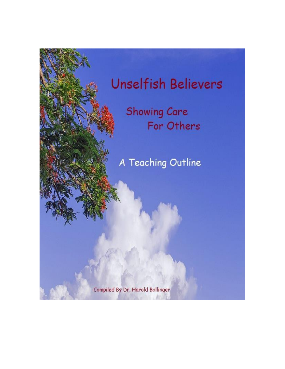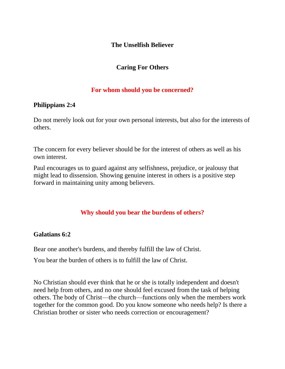### **The Unselfish Believer**

# **Caring For Others**

## **For whom should you be concerned?**

## **[Philippians](http://bible.knowing-jesus.com/Philippians/2/4) 2:4**

Do not merely look out for your own personal interests, but also for the interests of others.

The concern for every believer should be for the interest of others as well as his own interest.

Paul encourages us to guard against any selfishness, prejudice, or jealousy that might lead to dissension. Showing genuine interest in others is a positive step forward in maintaining unity among believers.

# **Why should you bear the burdens of others?**

### **[Galatians](http://bible.knowing-jesus.com/Galatians/6/2) 6:2**

Bear one another's burdens, and thereby fulfill the law of Christ.

You bear the burden of others is to fulfill the law of Christ.

No Christian should ever think that he or she is totally independent and doesn't need help from others, and no one should feel excused from the task of helping others. The body of Christ—the church—functions only when the members work together for the common good. Do you know someone who needs help? Is there a Christian brother or sister who needs correction or encouragement?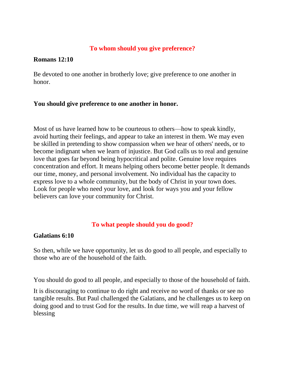## **To whom should you give preference?**

### **[Romans](http://bible.knowing-jesus.com/Romans/12/10) 12:10**

Be devoted to one another in brotherly love; give preference to one another in honor.

### **You should give preference to one another in honor.**

Most of us have learned how to be courteous to others—how to speak kindly, avoid hurting their feelings, and appear to take an interest in them. We may even be skilled in pretending to show compassion when we hear of others' needs, or to become indignant when we learn of injustice. But God calls us to real and genuine love that goes far beyond being hypocritical and polite. Genuine love requires concentration and effort. It means helping others become better people. It demands our time, money, and personal involvement. No individual has the capacity to express love to a whole community, but the body of Christ in your town does. Look for people who need your love, and look for ways you and your fellow believers can love your community for Christ.

### **To what people should you do good?**

#### **[Galatians](http://bible.knowing-jesus.com/Galatians/6/10) 6:10**

So then, while we have opportunity, let us do good to all people, and especially to those who are of the household of the faith.

You should do good to all people, and especially to those of the household of faith.

It is discouraging to continue to do right and receive no word of thanks or see no tangible results. But Paul challenged the Galatians, and he challenges us to keep on doing good and to trust God for the results. In due time, we will reap a harvest of blessing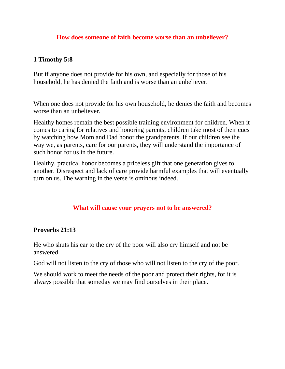### **How does someone of faith become worse than an unbeliever?**

### **1 [Timothy](http://bible.knowing-jesus.com/1-Timothy/5/8) 5:8**

But if anyone does not provide for his own, and especially for those of his household, he has denied the faith and is worse than an unbeliever.

When one does not provide for his own household, he denies the faith and becomes worse than an unbeliever.

Healthy homes remain the best possible training environment for children. When it comes to caring for relatives and honoring parents, children take most of their cues by watching how Mom and Dad honor the grandparents. If our children see the way we, as parents, care for our parents, they will understand the importance of such honor for us in the future.

Healthy, practical honor becomes a priceless gift that one generation gives to another. Disrespect and lack of care provide harmful examples that will eventually turn on us. The warning in the verse is ominous indeed.

### **What will cause your prayers not to be answered?**

### **[Proverbs](http://bible.knowing-jesus.com/Proverbs/21/13) 21:13**

He who shuts his ear to the cry of the poor will also cry himself and not be answered.

God will not listen to the cry of those who will not listen to the cry of the poor.

We should work to meet the needs of the poor and protect their rights, for it is always possible that someday we may find ourselves in their place.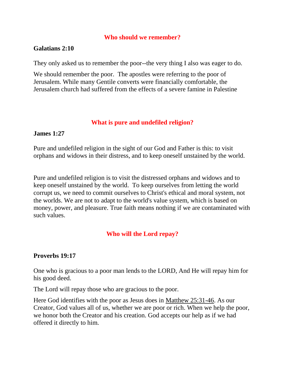### **Who should we remember?**

#### **[Galatians](http://bible.knowing-jesus.com/Galatians/2/10) 2:10**

They only asked us to remember the poor--the very thing I also was eager to do.

We should remember the poor. The apostles were referring to the poor of Jerusalem. While many Gentile converts were financially comfortable, the Jerusalem church had suffered from the effects of a severe famine in Palestine

#### **What is pure and undefiled religion?**

#### **[James](http://bible.knowing-jesus.com/James/1/27) 1:27**

Pure and undefiled religion in the sight of our God and Father is this: to visit orphans and widows in their distress, and to keep oneself unstained by the world.

Pure and undefiled religion is to visit the distressed orphans and widows and to keep oneself unstained by the world. To keep ourselves from letting the world corrupt us, we need to commit ourselves to Christ's ethical and moral system, not the worlds. We are not to adapt to the world's value system, which is based on money, power, and pleasure. True faith means nothing if we are contaminated with such values.

## **Who will the Lord repay?**

### **[Proverbs](http://bible.knowing-jesus.com/Proverbs/19/17) 19:17**

One who is gracious to a poor man lends to the LORD, And He will repay him for his good deed.

The Lord will repay those who are gracious to the poor.

Here God identifies with the poor as Jesus does in [Matthew 25:31-46.](http://www.crossbooks.com/verse.asp?ref=Mt+25%3A31-46) As our Creator, God values all of us, whether we are poor or rich. When we help the poor, we honor both the Creator and his creation. God accepts our help as if we had offered it directly to him.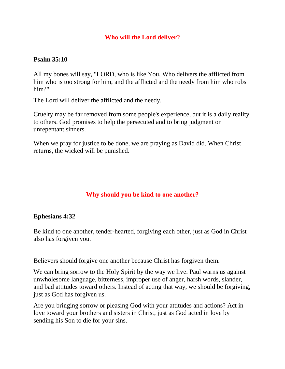## **Who will the Lord deliver?**

## **[Psalm](http://bible.knowing-jesus.com/Psalm/35/10) 35:10**

All my bones will say, "LORD, who is like You, Who delivers the afflicted from him who is too strong for him, and the afflicted and the needy from him who robs him?"

The Lord will deliver the afflicted and the needy.

Cruelty may be far removed from some people's experience, but it is a daily reality to others. God promises to help the persecuted and to bring judgment on unrepentant sinners.

When we pray for justice to be done, we are praying as David did. When Christ returns, the wicked will be punished.

## **Why should you be kind to one another?**

### **[Ephesians](http://bible.knowing-jesus.com/Ephesians/4/32) 4:32**

Be kind to one another, tender-hearted, forgiving each other, just as God in Christ also has forgiven you.

Believers should forgive one another because Christ has forgiven them.

We can bring sorrow to the Holy Spirit by the way we live. Paul warns us against unwholesome language, bitterness, improper use of anger, harsh words, slander, and bad attitudes toward others. Instead of acting that way, we should be forgiving, just as God has forgiven us.

Are you bringing sorrow or pleasing God with your attitudes and actions? Act in love toward your brothers and sisters in Christ, just as God acted in love by sending his Son to die for your sins.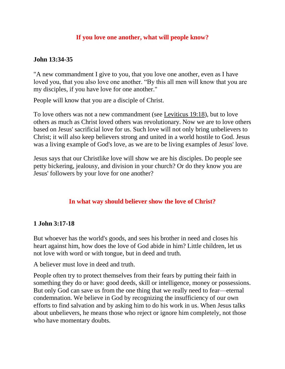## **If you love one another, what will people know?**

## **John [13:34-35](http://bible.knowing-jesus.com/John/13/34)**

"A new commandment I give to you, that you love one another, even as I have loved you, that you also love one another. "By this all men will know that you are my disciples, if you have love for one another."

People will know that you are a disciple of Christ.

To love others was not a new commandment (see [Leviticus 19:18\)](http://www.crossbooks.com/verse.asp?ref=Lev+19%3A18), but to love others as much as Christ loved others was revolutionary. Now we are to love others based on Jesus' sacrificial love for us. Such love will not only bring unbelievers to Christ; it will also keep believers strong and united in a world hostile to God. Jesus was a living example of God's love, as we are to be living examples of Jesus' love.

Jesus says that our Christlike love will show we are his disciples. Do people see petty bickering, jealousy, and division in your church? Or do they know you are Jesus' followers by your love for one another?

### **In what way should believer show the love of Christ?**

### **1 John [3:17-18](http://bible.knowing-jesus.com/1-John/3/17)**

But whoever has the world's goods, and sees his brother in need and closes his heart against him, how does the love of God abide in him? Little children, let us not love with word or with tongue, but in deed and truth.

A believer must love in deed and truth.

People often try to protect themselves from their fears by putting their faith in something they do or have: good deeds, skill or intelligence, money or possessions. But only God can save us from the one thing that we really need to fear—eternal condemnation. We believe in God by recognizing the insufficiency of our own efforts to find salvation and by asking him to do his work in us. When Jesus talks about unbelievers, he means those who reject or ignore him completely, not those who have momentary doubts.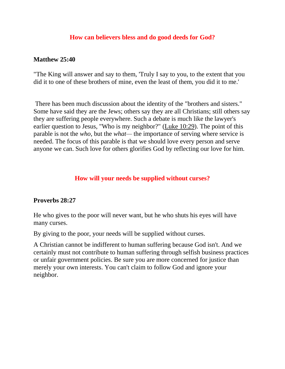### **How can believers bless and do good deeds for God?**

### **[Matthew](http://bible.knowing-jesus.com/Matthew/25/40) 25:40**

"The King will answer and say to them, 'Truly I say to you, to the extent that you did it to one of these brothers of mine, even the least of them, you did it to me.'

There has been much discussion about the identity of the "brothers and sisters." Some have said they are the Jews; others say they are all Christians; still others say they are suffering people everywhere. Such a debate is much like the lawyer's earlier question to Jesus, "Who is my neighbor?" [\(Luke 10:29\)](http://www.crossbooks.com/verse.asp?ref=Lk+10%3A29). The point of this parable is not the *who,* but the *what—* the importance of serving where service is needed. The focus of this parable is that we should love every person and serve anyone we can. Such love for others glorifies God by reflecting our love for him.

## **How will your needs be supplied without curses?**

### **[Proverbs](http://bible.knowing-jesus.com/Proverbs/28/27) 28:27**

He who gives to the poor will never want, but he who shuts his eyes will have many curses.

By giving to the poor, your needs will be supplied without curses.

A Christian cannot be indifferent to human suffering because God isn't. And we certainly must not contribute to human suffering through selfish business practices or unfair government policies. Be sure you are more concerned for justice than merely your own interests. You can't claim to follow God and ignore your neighbor.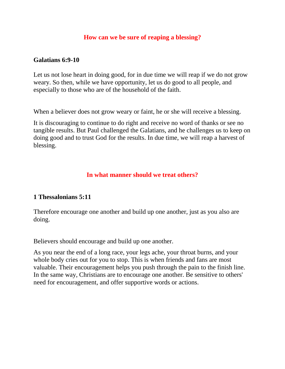### **How can we be sure of reaping a blessing?**

#### **[Galatians](http://bible.knowing-jesus.com/Galatians/6/9) 6:9-10**

Let us not lose heart in doing good, for in due time we will reap if we do not grow weary. So then, while we have opportunity, let us do good to all people, and especially to those who are of the household of the faith.

When a believer does not grow weary or faint, he or she will receive a blessing.

It is discouraging to continue to do right and receive no word of thanks or see no tangible results. But Paul challenged the Galatians, and he challenges us to keep on doing good and to trust God for the results. In due time, we will reap a harvest of blessing.

### **In what manner should we treat others?**

### **1 [Thessalonians](http://bible.knowing-jesus.com/1-Thessalonians/5/11) 5:11**

Therefore encourage one another and build up one another, just as you also are doing.

Believers should encourage and build up one another.

As you near the end of a long race, your legs ache, your throat burns, and your whole body cries out for you to stop. This is when friends and fans are most valuable. Their encouragement helps you push through the pain to the finish line. In the same way, Christians are to encourage one another. Be sensitive to others' need for encouragement, and offer supportive words or actions.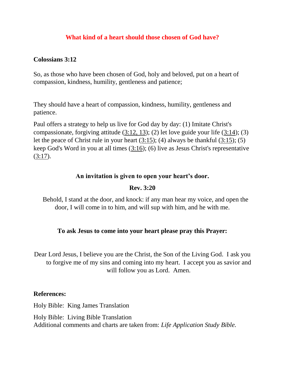## **What kind of a heart should those chosen of God have?**

#### **[Colossians](http://bible.knowing-jesus.com/Colossians/3/12) 3:12**

So, as those who have been chosen of God, holy and beloved, put on a heart of compassion, kindness, humility, gentleness and patience;

They should have a heart of compassion, kindness, humility, gentleness and patience.

Paul offers a strategy to help us live for God day by day: (1) Imitate Christ's compassionate, forgiving attitude [\(3:12, 13\)](http://www.crossbooks.com/verse.asp?ref=Col+3%3A12-13); (2) let love guide your life [\(3:14\)](http://www.crossbooks.com/verse.asp?ref=Col+3%3A14); (3) let the peace of Christ rule in your heart  $(3:15)$ ; (4) always be thankful  $(3:15)$ ; (5) keep God's Word in you at all times [\(3:16\)](http://www.crossbooks.com/verse.asp?ref=Col+3%3A16); (6) live as Jesus Christ's representative  $(3:17)$ .

#### **An invitation is given to open your heart's door.**

### **Rev. 3:20**

 Behold, I stand at the door, and knock: if any man hear my voice, and open the door, I will come in to him, and will sup with him, and he with me.

### **To ask Jesus to come into your heart please pray this Prayer:**

Dear Lord Jesus, I believe you are the Christ, the Son of the Living God. I ask you to forgive me of my sins and coming into my heart. I accept you as savior and will follow you as Lord. Amen.

#### **References:**

Holy Bible: King James Translation Holy Bible: Living Bible Translation Additional comments and charts are taken from: *Life Application Study Bible.*